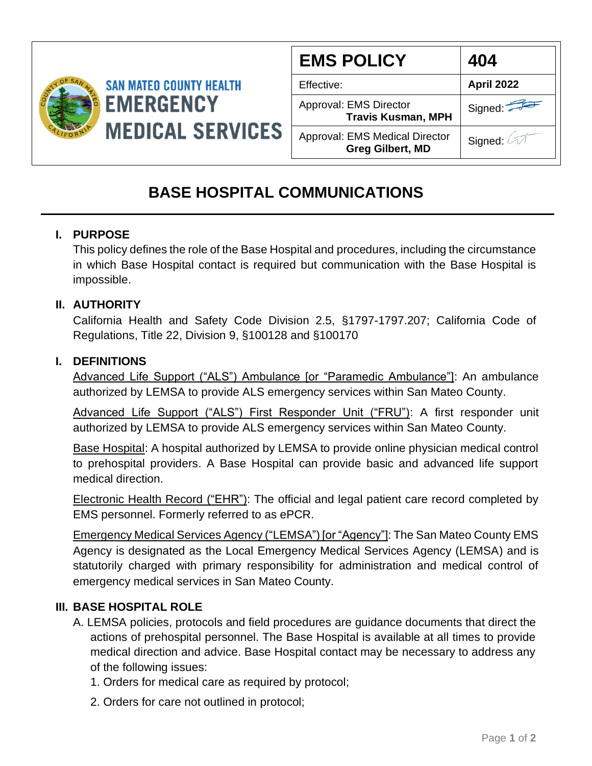

| <b>EMS POLICY</b>                                                | 404        |
|------------------------------------------------------------------|------------|
| Effective:                                                       | April 2022 |
| Approval: EMS Director<br><b>Travis Kusman, MPH</b>              | Signed:    |
| <b>Approval: EMS Medical Director</b><br><b>Greg Gilbert, MD</b> | Signed:    |

# **BASE HOSPITAL COMMUNICATIONS**

## **I. PURPOSE**

This policy defines the role of the Base Hospital and procedures, including the circumstance in which Base Hospital contact is required but communication with the Base Hospital is impossible.

## **II. AUTHORITY**

California Health and Safety Code Division 2.5, §1797-1797.207; California Code of Regulations, Title 22, Division 9, §100128 and §100170

## **I. DEFINITIONS**

Advanced Life Support ("ALS") Ambulance [or "Paramedic Ambulance"]: An ambulance authorized by LEMSA to provide ALS emergency services within San Mateo County.

Advanced Life Support ("ALS") First Responder Unit ("FRU"): A first responder unit authorized by LEMSA to provide ALS emergency services within San Mateo County.

Base Hospital: A hospital authorized by LEMSA to provide online physician medical control to prehospital providers. A Base Hospital can provide basic and advanced life support medical direction.

Electronic Health Record ("EHR"): The official and legal patient care record completed by EMS personnel. Formerly referred to as ePCR.

Emergency Medical Services Agency ("LEMSA") [or "Agency"]: The San Mateo County EMS Agency is designated as the Local Emergency Medical Services Agency (LEMSA) and is statutorily charged with primary responsibility for administration and medical control of emergency medical services in San Mateo County.

#### **III. BASE HOSPITAL ROLE**

- A. LEMSA policies, protocols and field procedures are guidance documents that direct the actions of prehospital personnel. The Base Hospital is available at all times to provide medical direction and advice. Base Hospital contact may be necessary to address any of the following issues:
	- 1. Orders for medical care as required by protocol;
	- 2. Orders for care not outlined in protocol;